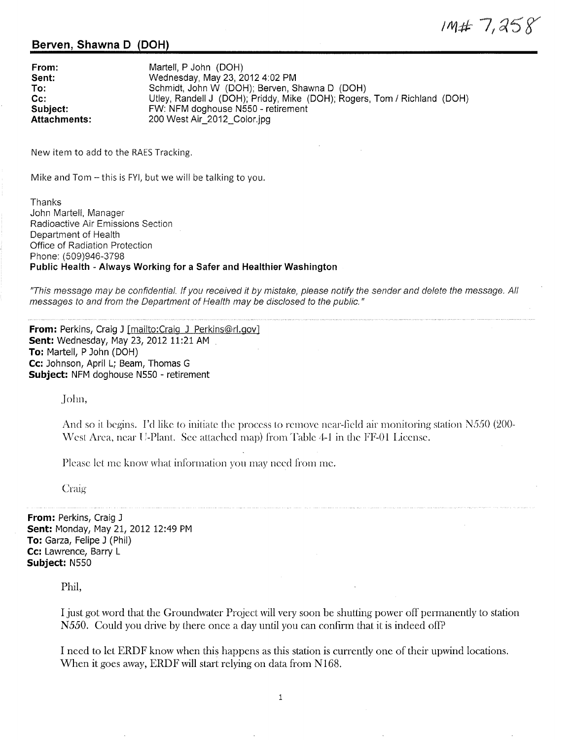$1M# 7,258$ 

## **Serven, Shawna D (DOH)**

| From:               | Martell, P John (DOH)                                                    |
|---------------------|--------------------------------------------------------------------------|
| Sent:               | Wednesday, May 23, 2012 4:02 PM                                          |
| To:                 | Schmidt, John W (DOH); Berven, Shawna D (DOH)                            |
| $Cc$ :              | Utley, Randell J (DOH); Priddy, Mike (DOH); Rogers, Tom / Richland (DOH) |
| Subject:            | FW: NFM doghouse N550 - retirement                                       |
| <b>Attachments:</b> | 200 West Air 2012 Color.jpg                                              |

New item to add to the RAES Tracking.

Mike and Tom – this is FYI, but we will be talking to you.

Thanks John Martell, Manager Radioactive Air Emissions Section Department of Health Office of Radiation Protection Phone: ( 509)946-3798 **Public Health - Always Working for a Safer and Healthier Washington** 

"This message may be confidential. If you received it by mistake, please notify the sender and delete the message. All messages to and from the Department of Health may be disclosed to the public."

**From:** Perkins, Craig J [mailto:Craig J Perkins@rl.gov] **Sent:** Wednesday, May 23, 2012 11:21 AM **To:** Martell, P John (DOH) **Cc:** Johnson, April L; Beam, Thomas G **Subject:** NFM doghouse NSS0 - retirement

John,

And so it begins. I'd like to initiate the process to remove near-field air monitoring station  $N550$  (200-West Area, near U-Plant. See attached map) from Table 4-1 in the FF-01 License.

Please let me know what information you may need from me.

Craig

**From:** Perkins, Craig J **Sent:** Monday, May 21, 2012 12:49 PM **To:** Garza, Felipe J (Phil) **Cc:** Lawrence, Barry **L Subject:** NSSO

Phil,

I just got word that the Groundwater Project will very soon be shutting power off permanently to station *N550.* Could you drive by there once a day until you can confirm that it is indeed off?

I need to let ERDF know when this happens as this station is currently one of their upwind locations. When it goes away, ERDF will start relying on data from N168.

1